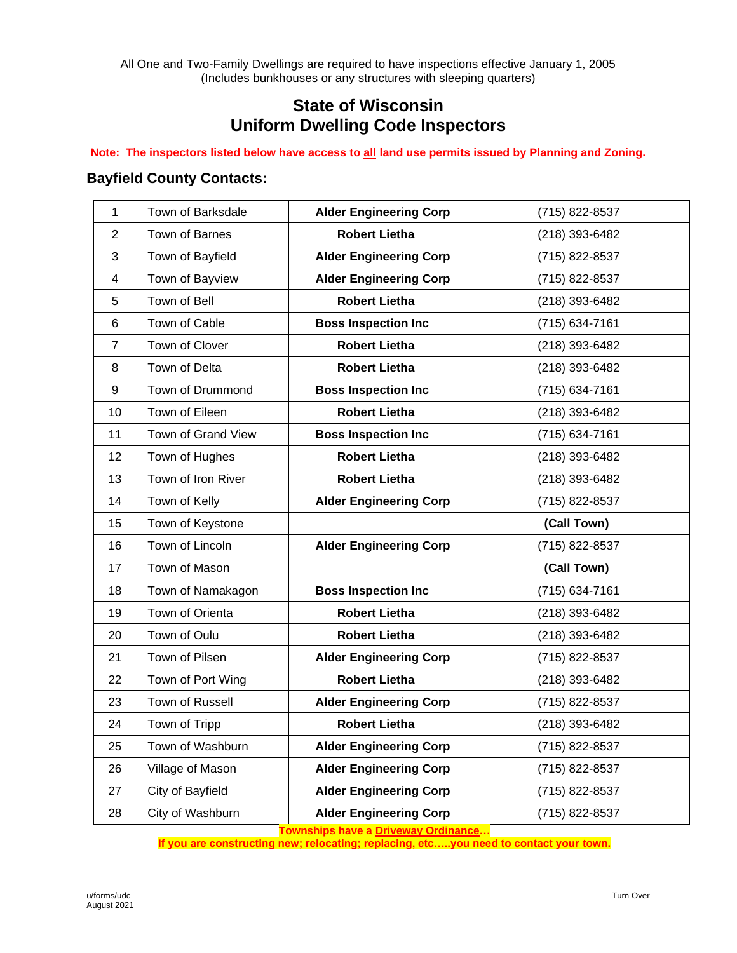All One and Two-Family Dwellings are required to have inspections effective January 1, 2005 (Includes bunkhouses or any structures with sleeping quarters)

## **State of Wisconsin Uniform Dwelling Code Inspectors**

## **Note: The inspectors listed below have access to all land use permits issued by Planning and Zoning.**

## **Bayfield County Contacts:**

| $\mathbf{1}$ | Town of Barksdale  | <b>Alder Engineering Corp</b> | (715) 822-8537 |
|--------------|--------------------|-------------------------------|----------------|
| 2            | Town of Barnes     | <b>Robert Lietha</b>          | (218) 393-6482 |
| 3            | Town of Bayfield   | <b>Alder Engineering Corp</b> | (715) 822-8537 |
|              |                    |                               |                |
| 4            | Town of Bayview    | <b>Alder Engineering Corp</b> | (715) 822-8537 |
| 5            | Town of Bell       | <b>Robert Lietha</b>          | (218) 393-6482 |
| $\,6$        | Town of Cable      | <b>Boss Inspection Inc</b>    | (715) 634-7161 |
| 7            | Town of Clover     | <b>Robert Lietha</b>          | (218) 393-6482 |
| 8            | Town of Delta      | <b>Robert Lietha</b>          | (218) 393-6482 |
| 9            | Town of Drummond   | <b>Boss Inspection Inc</b>    | (715) 634-7161 |
| 10           | Town of Eileen     | <b>Robert Lietha</b>          | (218) 393-6482 |
| 11           | Town of Grand View | <b>Boss Inspection Inc</b>    | (715) 634-7161 |
| 12           | Town of Hughes     | <b>Robert Lietha</b>          | (218) 393-6482 |
| 13           | Town of Iron River | <b>Robert Lietha</b>          | (218) 393-6482 |
| 14           | Town of Kelly      | <b>Alder Engineering Corp</b> | (715) 822-8537 |
|              |                    |                               |                |
| 15           | Town of Keystone   |                               | (Call Town)    |
| 16           | Town of Lincoln    | <b>Alder Engineering Corp</b> | (715) 822-8537 |
| 17           | Town of Mason      |                               | (Call Town)    |
| 18           | Town of Namakagon  | <b>Boss Inspection Inc</b>    | (715) 634-7161 |
| 19           | Town of Orienta    | <b>Robert Lietha</b>          | (218) 393-6482 |
| 20           | Town of Oulu       | <b>Robert Lietha</b>          | (218) 393-6482 |
| 21           | Town of Pilsen     | <b>Alder Engineering Corp</b> | (715) 822-8537 |
| 22           | Town of Port Wing  | <b>Robert Lietha</b>          | (218) 393-6482 |
| 23           | Town of Russell    | <b>Alder Engineering Corp</b> | (715) 822-8537 |
| 24           | Town of Tripp      | <b>Robert Lietha</b>          | (218) 393-6482 |
| 25           | Town of Washburn   | <b>Alder Engineering Corp</b> | (715) 822-8537 |
| 26           | Village of Mason   | <b>Alder Engineering Corp</b> | (715) 822-8537 |
| 27           | City of Bayfield   | <b>Alder Engineering Corp</b> | (715) 822-8537 |

**Townships have a Driveway Ordinance…**

**If you are constructing new; relocating; replacing, etc…..you need to contact your town.**